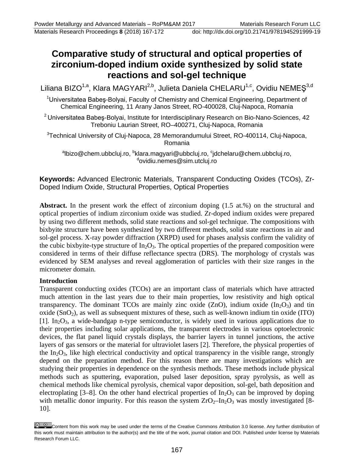# **Comparative study of structural and optical properties of zirconium-doped indium oxide synthesized by solid state reactions and sol-gel technique**

Liliana BIZO<sup>1,a</sup>, Klara MAGYARI<sup>2,b</sup>, Julieta Daniela CHELARU<sup>1,c</sup>, Ovidiu NEMEŞ<sup>3,d</sup>

<sup>1</sup>Universitatea Babeş-Bolyai, Faculty of Chemistry and Chemical Engineering, Department of Chemical Engineering, 11 Arany Janos Street, RO-400028, Cluj-Napoca, Romania

<sup>2</sup> Universitatea Babeș-Bolyai, Institute for Interdisciplinary Research on Bio-Nano-Sciences, 42 Treboniu Laurian Street, RO–400271, Cluj-Napoca, Romania

 $3$ Technical University of Cluj-Napoca, 28 Memorandumului Street, RO-400114, Cluj-Napoca, Romania

<sup>a</sup>lbizo@chem.ubbcluj.ro, <sup>b</sup>klara.magyari@ubbcluj.ro, <sup>c</sup>[jdchelaru@chem.ubbcluj.ro,](mailto:cjdchelaru@chem.ubbcluj.ro)<br>sovidiu nomos@sim.utcluj.ro ovidiu.nemes@sim.utcluj.ro

**Keywords:** Advanced Electronic Materials, Transparent Conducting Oxides (TCOs), Zr-Doped Indium Oxide, Structural Properties, Optical Properties

Abstract. In the present work the effect of zirconium doping  $(1.5 \text{ at.})$  on the structural and optical properties of indium zirconium oxide was studied. Zr-doped indium oxides were prepared by using two different methods, solid state reactions and sol-gel technique. The compositions with bixbyite structure have been synthesized by two different methods, solid state reactions in air and sol-gel process. X-ray powder diffraction (XRPD) used for phases analysis confirm the validity of the cubic bixbyite-type structure of  $In_2O_3$ . The optical properties of the prepared composition were considered in terms of their diffuse reflectance spectra (DRS). The morphology of crystals was evidenced by SEM analyses and reveal agglomeration of particles with their size ranges in the micrometer domain.

# **Introduction**

Transparent conducting oxides (TCOs) are an important class of materials which have attracted much attention in the last years due to their main properties, low resistivity and high optical transparency. The dominant TCOs are mainly zinc oxide  $(ZnO)$ , indium oxide  $(In<sub>2</sub>O<sub>3</sub>)$  and tin oxide  $(SnO<sub>2</sub>)$ , as well as subsequent mixtures of these, such as well-known indium tin oxide (ITO)  $[1]$ . In<sub>2</sub>O<sub>3</sub>, a wide-bandgap n-type semiconductor, is widely used in various applications due to their properties including solar applications, the transparent electrodes in various optoelectronic devices, the flat panel liquid crystals displays, the barrier layers in tunnel junctions, the active layers of gas sensors or the material for ultraviolet lasers [2]. Therefore, the physical properties of the  $In_2O_3$ , like high electrical conductivity and optical transparency in the visible range, strongly depend on the preparation method. For this reason there are many investigations which are studying their properties in dependence on the synthesis methods. These methods include physical methods such as sputtering, evaporation, pulsed laser deposition, spray pyrolysis, as well as chemical methods like chemical pyrolysis, chemical vapor deposition, sol-gel, bath deposition and electroplating [3–8]. On the other hand electrical properties of  $In_2O_3$  can be improved by doping with metallic donor impurity. For this reason the system  $ZrO_2-In_2O_3$  was mostly investigated [8-10].

Content from this work may be used under the terms of the Creative Commons Attribution 3.0 license. Any further distribution of this work must maintain attribution to the author(s) and the title of the work, journal citation and DOI. Published under license by Materials Research Forum LLC.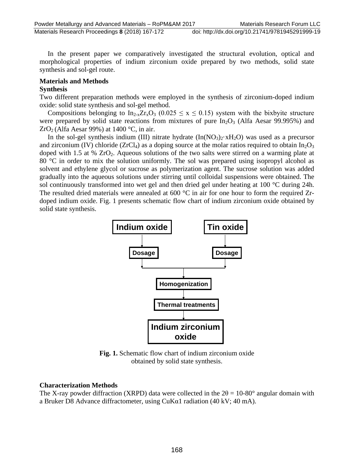Materials Research Proceedings **8** (2018) 167-172 doi: http://dx.doi.org/10.21741/9781945291999-19

In the present paper we comparatively investigated the structural evolution, optical and morphological properties of indium zirconium oxide prepared by two methods, solid state synthesis and sol-gel route.

# **Materials and Methods**

### **Synthesis**

Two different preparation methods were employed in the synthesis of zirconium-doped indium oxide: solid state synthesis and sol-gel method.

Compositions belonging to  $In_{2-x}Zr_xO_3$  (0.025  $\leq$  x  $\leq$  0.15) system with the bixbyite structure were prepared by solid state reactions from mixtures of pure  $In_2O_3$  (Alfa Aesar 99.995%) and  $ZrO<sub>2</sub>$  (Alfa Aesar 99%) at 1400 °C, in air.

In the sol-gel synthesis indium (III) nitrate hydrate  $(In(NO<sub>3</sub>)<sub>2</sub>·xH<sub>2</sub>O)$  was used as a precursor and zirconium (IV) chloride (ZrCl<sub>4</sub>) as a doping source at the molar ratios required to obtain  $In_2O_3$ doped with 1.5 at  $% ZrO<sub>2</sub>$ . Aqueous solutions of the two salts were stirred on a warming plate at 80 °C in order to mix the solution uniformly. The sol was prepared using isopropyl alcohol as solvent and ethylene glycol or sucrose as polymerization agent. The sucrose solution was added gradually into the aqueous solutions under stirring until colloidal suspensions were obtained. The sol continuously transformed into wet gel and then dried gel under heating at 100 °C during 24h. The resulted dried materials were annealed at 600 °C in air for one hour to form the required Zrdoped indium oxide. Fig. 1 presents schematic flow chart of indium zirconium oxide obtained by solid state synthesis.



**Fig. 1.** Schematic flow chart of indium zirconium oxide obtained by solid state synthesis.

# **Characterization Methods**

The X-ray powder diffraction (XRPD) data were collected in the  $2\theta = 10{\text -}80^{\circ}$  angular domain with a Bruker D8 Advance diffractometer, using  $\text{CuK}\alpha1$  radiation (40 kV; 40 mA).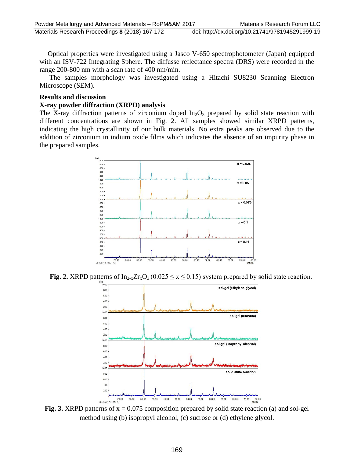Optical properties were investigated using a Jasco V-650 spectrophotometer (Japan) equipped with an ISV-722 Integrating Sphere. The diffusse reflectance spectra (DRS) were recorded in the range 200-800 nm with a scan rate of 400 nm/min.

The samples morphology was investigated using a Hitachi SU8230 Scanning Electron Microscope (SEM).

#### **Results and discussion**

### **X-ray powder diffraction (XRPD) analysis**

The X-ray diffraction patterns of zirconium doped  $In_2O_3$  prepared by solid state reaction with different concentrations are shown in Fig. 2. All samples showed similar XRPD patterns, indicating the high crystallinity of our bulk materials. No extra peaks are observed due to the addition of zirconium in indium oxide films which indicates the absence of an impurity phase in the prepared samples.



**Fig. 2.** XRPD patterns of  $In_{2-x}Zr_xO_3$  (0.025  $\le x \le 0.15$ ) system prepared by solid state reaction.



**Fig. 3.** XRPD patterns of  $x = 0.075$  composition prepared by solid state reaction (a) and sol-gel method using (b) isopropyl alcohol, (c) sucrose or (d) ethylene glycol.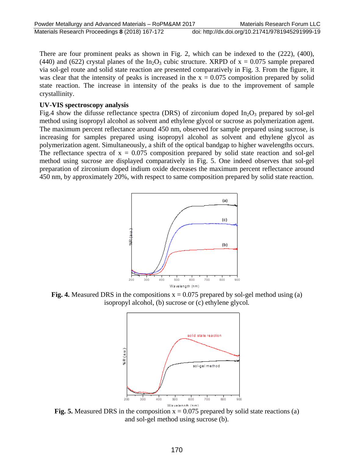There are four prominent peaks as shown in Fig. 2, which can be indexed to the (222), (400), (440) and (622) crystal planes of the In<sub>2</sub>O<sub>3</sub> cubic structure. XRPD of  $x = 0.075$  sample prepared via sol-gel route and solid state reaction are presented comparatively in Fig. 3. From the figure, it was clear that the intensity of peaks is increased in the  $x = 0.075$  composition prepared by solid state reaction. The increase in intensity of the peaks is due to the improvement of sample crystallinity.

#### **UV-VIS spectroscopy analysis**

Fig.4 show the difusse reflectance spectra (DRS) of zirconium doped  $In_2O_3$  prepared by sol-gel method using isopropyl alcohol as solvent and ethylene glycol or sucrose as polymerization agent. The maximum percent reflectance around 450 nm, observed for sample prepared using sucrose, is increasing for samples prepared using isopropyl alcohol as solvent and ethylene glycol as polymerization agent. Simultaneously, a shift of the optical bandgap to higher wavelengths occurs. The reflectance spectra of  $x = 0.075$  composition prepared by solid state reaction and sol-gel method using sucrose are displayed comparatively in Fig. 5. One indeed observes that sol-gel preparation of zirconium doped indium oxide decreases the maximum percent reflectance around 450 nm, by approximately 20%, with respect to same composition prepared by solid state reaction.

![](_page_3_Figure_5.jpeg)

**Fig. 4.** Measured DRS in the compositions  $x = 0.075$  prepared by sol-gel method using (a) isopropyl alcohol, (b) sucrose or (c) ethylene glycol*.*

![](_page_3_Figure_7.jpeg)

**Fig. 5.** Measured DRS in the composition  $x = 0.075$  prepared by solid state reactions (a) and sol-gel method using sucrose (b).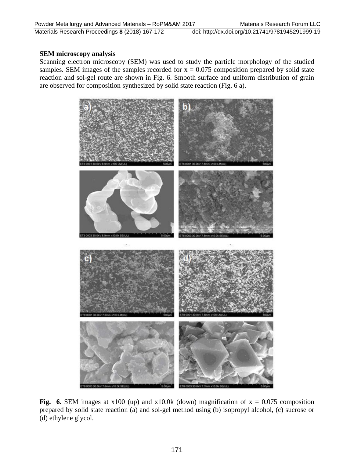Materials Research Proceedings **8** (2018) 167-172 doi: http://dx.doi.org/10.21741/9781945291999-19

#### **SEM microscopy analysis**

Scanning electron microscopy (SEM) was used to study the particle morphology of the studied samples. SEM images of the samples recorded for  $x = 0.075$  composition prepared by solid state reaction and sol-gel route are shown in Fig. 6. Smooth surface and uniform distribution of grain are observed for composition synthesized by solid state reaction (Fig. 6 a).

![](_page_4_Picture_5.jpeg)

**Fig.** 6. SEM images at  $x100 \text{ (up)}$  and  $x10.0k \text{ (down)}$  magnification of  $x = 0.075$  composition prepared by solid state reaction (a) and sol-gel method using (b) isopropyl alcohol, (c) sucrose or (d) ethylene glycol.